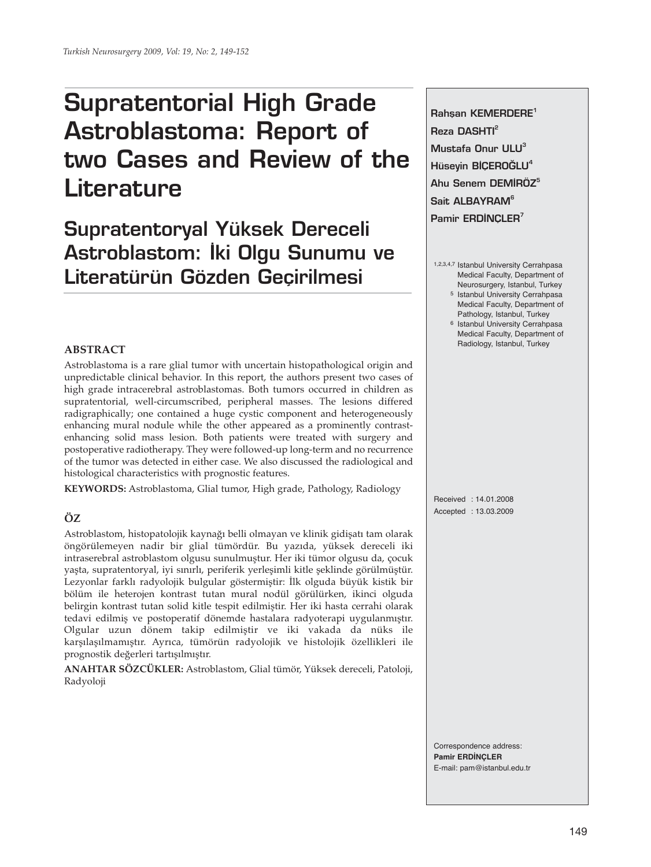# **Supratentorial High Grade Astroblastoma: Report of two Cases and Review of the Literature**

# **Supratentoryal Yüksek Dereceli** Astroblastom: İki Olgu Sunumu ve **Literatürün Gözden Geçirilmesi**

# **ABSTRACT**

Astroblastoma is a rare glial tumor with uncertain histopathological origin and unpredictable clinical behavior. In this report, the authors present two cases of high grade intracerebral astroblastomas. Both tumors occurred in children as supratentorial, well-circumscribed, peripheral masses. The lesions differed radigraphically; one contained a huge cystic component and heterogeneously enhancing mural nodule while the other appeared as a prominently contrastenhancing solid mass lesion. Both patients were treated with surgery and postoperative radiotherapy. They were followed-up long-term and no recurrence of the tumor was detected in either case. We also discussed the radiological and histological characteristics with prognostic features.

**KEYWORDS:** Astroblastoma, Glial tumor, High grade, Pathology, Radiology

# **ÖZ**

Astroblastom, histopatolojik kaynağı belli olmayan ve klinik gidişatı tam olarak öngörülemeyen nadir bir glial tümördür. Bu yazıda, yüksek dereceli iki intraserebral astroblastom olgusu sunulmuştur. Her iki tümor olgusu da, çocuk yaşta, supratentoryal, iyi sınırlı, periferik yerleşimli kitle şeklinde görülmüştür. Lezyonlar farklı radyolojik bulgular göstermiştir: İlk olguda büyük kistik bir bölüm ile heterojen kontrast tutan mural nodül görülürken, ikinci olguda belirgin kontrast tutan solid kitle tespit edilmiştir. Her iki hasta cerrahi olarak tedavi edilmiş ve postoperatif dönemde hastalara radyoterapi uygulanmıştır. Olgular uzun dönem takip edilmiştir ve iki vakada da nüks ile karşılaşılmamıştır. Ayrıca, tümörün radyolojik ve histolojik özellikleri ile prognostik değerleri tartışılmıştır.

**ANAHTAR SÖZCÜKLER:** Astroblastom, Glial tümör, Yüksek dereceli, Patoloji, Radyoloji

Rahsan KEMERDERE<sup>1</sup> **Reza DASHTI<sup>2</sup> Mustafa Onur ULU3 Hüseyin BİÇEROĞLU<sup>4</sup>** Ahu Senem DEMİRÖZ<sup>5</sup> Sait ALBAYRAM<sup>6</sup> Pamir ERDINCLER<sup>7</sup>

- 1,2,3,4,7 Istanbul University Cerrahpasa Medical Faculty, Department of Neurosurgery, Istanbul, Turkey
	- 5 Istanbul University Cerrahpasa Medical Faculty, Department of Pathology, Istanbul, Turkey
	- 6 Istanbul University Cerrahpasa Medical Faculty, Department of Radiology, Istanbul, Turkey

Received : 14.01.2008 Accepted : 13.03.2009

Correspondence address: **Pamir ERDİNÇLER** E-mail: pam@istanbul.edu.tr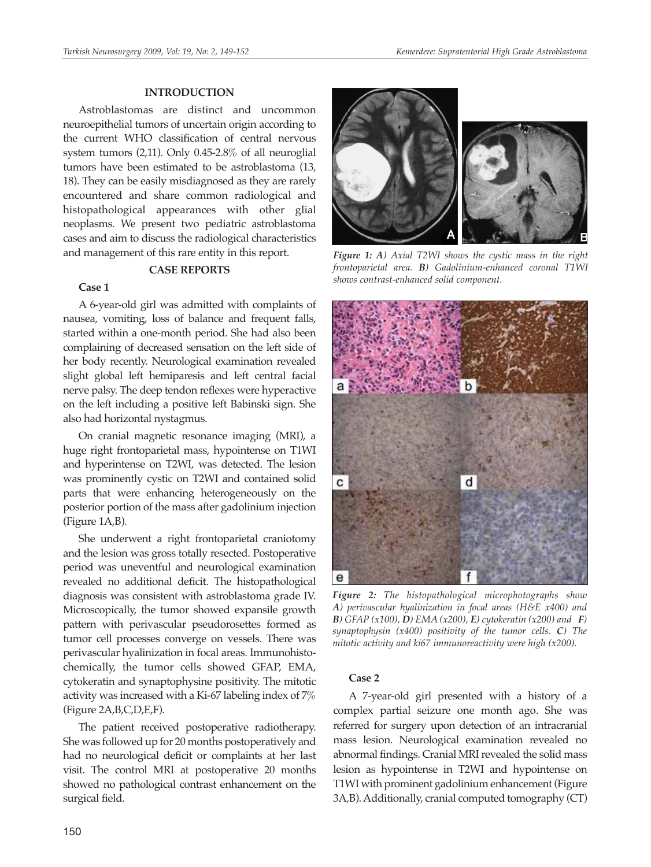#### **INTRODUCTION**

Astroblastomas are distinct and uncommon neuroepithelial tumors of uncertain origin according to the current WHO classification of central nervous system tumors (2,11). Only 0.45-2.8% of all neuroglial tumors have been estimated to be astroblastoma (13, 18). They can be easily misdiagnosed as they are rarely encountered and share common radiological and histopathological appearances with other glial neoplasms. We present two pediatric astroblastoma cases and aim to discuss the radiological characteristics and management of this rare entity in this report.

# **CASE REPORTS**

### **Case 1**

A 6-year-old girl was admitted with complaints of nausea, vomiting, loss of balance and frequent falls, started within a one-month period. She had also been complaining of decreased sensation on the left side of her body recently. Neurological examination revealed slight global left hemiparesis and left central facial nerve palsy. The deep tendon reflexes were hyperactive on the left including a positive left Babinski sign. She also had horizontal nystagmus.

On cranial magnetic resonance imaging (MRI), a huge right frontoparietal mass, hypointense on T1WI and hyperintense on T2WI, was detected. The lesion was prominently cystic on T2WI and contained solid parts that were enhancing heterogeneously on the posterior portion of the mass after gadolinium injection (Figure 1A,B).

She underwent a right frontoparietal craniotomy and the lesion was gross totally resected. Postoperative period was uneventful and neurological examination revealed no additional deficit. The histopathological diagnosis was consistent with astroblastoma grade IV. Microscopically, the tumor showed expansile growth pattern with perivascular pseudorosettes formed as tumor cell processes converge on vessels. There was perivascular hyalinization in focal areas. Immunohistochemically, the tumor cells showed GFAP, EMA, cytokeratin and synaptophysine positivity. The mitotic activity was increased with a Ki-67 labeling index of 7% (Figure 2A,B,C,D,E,F).

The patient received postoperative radiotherapy. She was followed up for 20 months postoperatively and had no neurological deficit or complaints at her last visit. The control MRI at postoperative 20 months showed no pathological contrast enhancement on the surgical field.



*Figure 1: A) Axial T2WI shows the cystic mass in the right frontoparietal area. B) Gadolinium-enhanced coronal T1WI shows contrast-enhanced solid component.*



*Figure 2: The histopathological microphotographs show A) perivascular hyalinization in focal areas (H&E x400) and B) GFAP (x100), D) EMA (x200), E) cytokeratin (x200) and F) synaptophysin (x400) positivity of the tumor cells. C) The mitotic activity and ki67 immunoreactivity were high (x200).*

### **Case 2**

A 7-year-old girl presented with a history of a complex partial seizure one month ago. She was referred for surgery upon detection of an intracranial mass lesion. Neurological examination revealed no abnormal findings. Cranial MRI revealed the solid mass lesion as hypointense in T2WI and hypointense on T1WI with prominent gadolinium enhancement (Figure 3A,B). Additionally, cranial computed tomography (CT)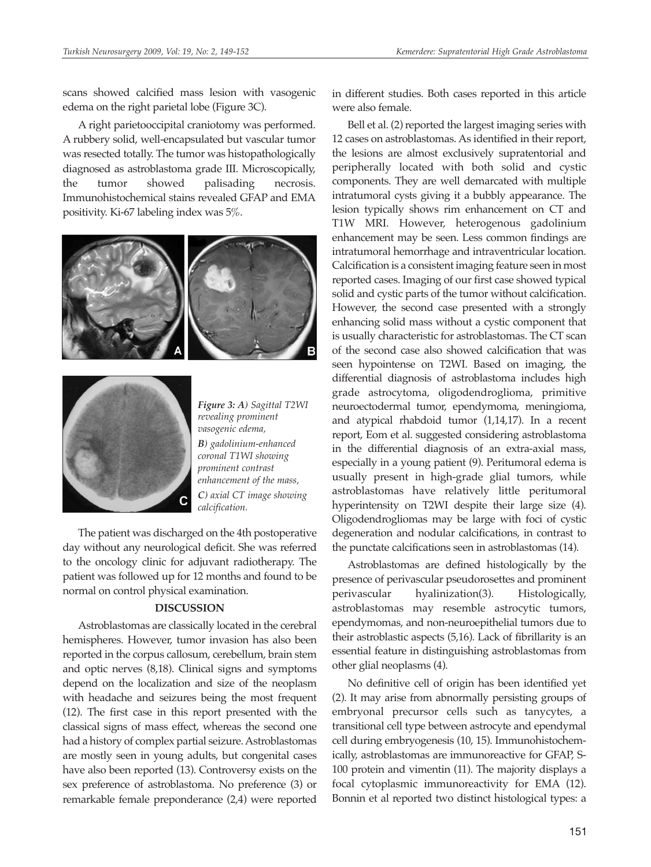scans showed calcified mass lesion with vasogenic edema on the right parietal lobe (Figure 3C).

A right parietooccipital craniotomy was performed. A rubbery solid, well-encapsulated but vascular tumor was resected totally. The tumor was histopathologically diagnosed as astroblastoma grade III. Microscopically, the tumor showed palisading necrosis. Immunohistochemical stains revealed GFAP and EMA positivity. Ki-67 labeling index was 5%.





*Figure 3: A) Sagittal T2WI revealing prominent vasogenic edema, B) gadolinium-enhanced coronal T1WI showing prominent contrast enhancement of the mass, C) axial CT image showing calcification.*

The patient was discharged on the 4th postoperative day without any neurological deficit. She was referred to the oncology clinic for adjuvant radiotherapy. The patient was followed up for 12 months and found to be normal on control physical examination.

## **DISCUSSION**

Astroblastomas are classically located in the cerebral hemispheres. However, tumor invasion has also been reported in the corpus callosum, cerebellum, brain stem and optic nerves (8,18). Clinical signs and symptoms depend on the localization and size of the neoplasm with headache and seizures being the most frequent (12). The first case in this report presented with the classical signs of mass effect, whereas the second one had a history of complex partial seizure. Astroblastomas are mostly seen in young adults, but congenital cases have also been reported (13). Controversy exists on the sex preference of astroblastoma. No preference (3) or remarkable female preponderance (2,4) were reported

in different studies. Both cases reported in this article were also female.

Bell et al. (2) reported the largest imaging series with 12 cases on astroblastomas. As identified in their report, the lesions are almost exclusively supratentorial and peripherally located with both solid and cystic components. They are well demarcated with multiple intratumoral cysts giving it a bubbly appearance. The lesion typically shows rim enhancement on CT and T1W MRI. However, heterogenous gadolinium enhancement may be seen. Less common findings are intratumoral hemorrhage and intraventricular location. Calcification is a consistent imaging feature seen in most reported cases. Imaging of our first case showed typical solid and cystic parts of the tumor without calcification. However, the second case presented with a strongly enhancing solid mass without a cystic component that is usually characteristic for astroblastomas. The CT scan of the second case also showed calcification that was seen hypointense on T2WI. Based on imaging, the differential diagnosis of astroblastoma includes high grade astrocytoma, oligodendroglioma, primitive neuroectodermal tumor, ependymoma, meningioma, and atypical rhabdoid tumor (1,14,17). In a recent report, Eom et al. suggested considering astroblastoma in the differential diagnosis of an extra-axial mass, especially in a young patient (9). Peritumoral edema is usually present in high-grade glial tumors, while astroblastomas have relatively little peritumoral hyperintensity on T2WI despite their large size (4). Oligodendrogliomas may be large with foci of cystic degeneration and nodular calcifications, in contrast to the punctate calcifications seen in astroblastomas (14).

Astroblastomas are defined histologically by the presence of perivascular pseudorosettes and prominent perivascular hyalinization(3). Histologically, astroblastomas may resemble astrocytic tumors, ependymomas, and non-neuroepithelial tumors due to their astroblastic aspects (5,16). Lack of fibrillarity is an essential feature in distinguishing astroblastomas from other glial neoplasms (4).

No definitive cell of origin has been identified yet (2). It may arise from abnormally persisting groups of embryonal precursor cells such as tanycytes, a transitional cell type between astrocyte and ependymal cell during embryogenesis (10, 15). Immunohistochemically, astroblastomas are immunoreactive for GFAP, S-100 protein and vimentin (11). The majority displays a focal cytoplasmic immunoreactivity for EMA (12). Bonnin et al reported two distinct histological types: a